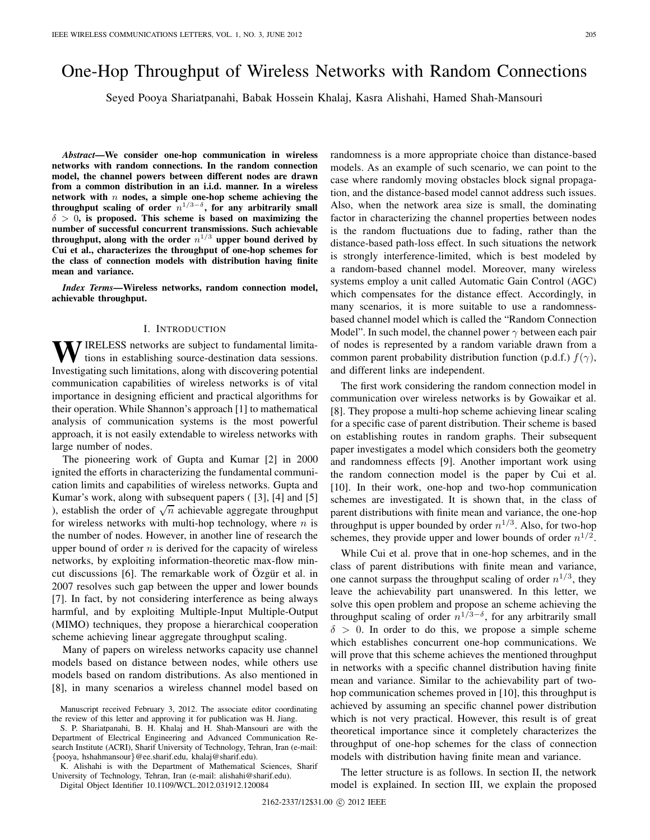# One-Hop Throughput of Wireless Networks with Random Connections

Seyed Pooya Shariatpanahi, Babak Hossein Khalaj, Kasra Alishahi, Hamed Shah-Mansouri

*Abstract***—We consider one-hop communication in wireless networks with random connections. In the random connection model, the channel powers between different nodes are drawn from a common distribution in an i.i.d. manner. In a wireless network with** n **nodes, a simple one-hop scheme achieving the** throughput scaling of order  $n^{1/3-\delta}$ , for any arbitrarily small δ > 0**, is proposed. This scheme is based on maximizing the number of successful concurrent transmissions. Such achievable** throughput, along with the order  $n^{1/3}$  upper bound derived by **Cui et al., characterizes the throughput of one-hop schemes for the class of connection models with distribution having finite mean and variance.**

*Index Terms***—Wireless networks, random connection model, achievable throughput.**

#### I. INTRODUCTION

WIRELESS networks are subject to fundamental limitations in establishing source-destination data sessions. Investigating such limitations, along with discovering potential communication capabilities of wireless networks is of vital importance in designing efficient and practical algorithms for their operation. While Shannon's approach [1] to mathematical analysis of communication systems is the most powerful approach, it is not easily extendable to wireless networks with large number of nodes.

The pioneering work of Gupta and Kumar [2] in 2000 ignited the efforts in characterizing the fundamental communication limits and capabilities of wireless networks. Gupta and Kumar's work, along with subsequent papers ( [3], [4] and [5] ), establish the order of  $\sqrt{n}$  achievable aggregate throughput for wireless networks with multi-hop technology, where  $n$  is the number of nodes. However, in another line of research the upper bound of order  $n$  is derived for the capacity of wireless networks, by exploiting information-theoretic max-flow mincut discussions [6]. The remarkable work of Özgür et al. in 2007 resolves such gap between the upper and lower bounds [7]. In fact, by not considering interference as being always harmful, and by exploiting Multiple-Input Multiple-Output (MIMO) techniques, they propose a hierarchical cooperation scheme achieving linear aggregate throughput scaling.

Many of papers on wireless networks capacity use channel models based on distance between nodes, while others use models based on random distributions. As also mentioned in [8], in many scenarios a wireless channel model based on

S. P. Shariatpanahi, B. H. Khalaj and H. Shah-Mansouri are with the Department of Electrical Engineering and Advanced Communication Research Institute (ACRI), Sharif University of Technology, Tehran, Iran (e-mail: {pooya, hshahmansour}@ee.sharif.edu, khalaj@sharif.edu).

K. Alishahi is with the Department of Mathematical Sciences, Sharif University of Technology, Tehran, Iran (e-mail: alishahi@sharif.edu).

Digital Object Identifier 10.1109/WCL.2012.031912.120084

randomness is a more appropriate choice than distance-based models. As an example of such scenario, we can point to the case where randomly moving obstacles block signal propagation, and the distance-based model cannot address such issues. Also, when the network area size is small, the dominating factor in characterizing the channel properties between nodes is the random fluctuations due to fading, rather than the distance-based path-loss effect. In such situations the network is strongly interference-limited, which is best modeled by a random-based channel model. Moreover, many wireless systems employ a unit called Automatic Gain Control (AGC) which compensates for the distance effect. Accordingly, in many scenarios, it is more suitable to use a randomnessbased channel model which is called the "Random Connection Model". In such model, the channel power  $\gamma$  between each pair of nodes is represented by a random variable drawn from a common parent probability distribution function (p.d.f.)  $f(\gamma)$ , and different links are independent.

The first work considering the random connection model in communication over wireless networks is by Gowaikar et al. [8]. They propose a multi-hop scheme achieving linear scaling for a specific case of parent distribution. Their scheme is based on establishing routes in random graphs. Their subsequent paper investigates a model which considers both the geometry and randomness effects [9]. Another important work using the random connection model is the paper by Cui et al. [10]. In their work, one-hop and two-hop communication schemes are investigated. It is shown that, in the class of parent distributions with finite mean and variance, the one-hop throughput is upper bounded by order  $n^{1/3}$ . Also, for two-hop schemes, they provide upper and lower bounds of order  $n^{1/2}$ .

While Cui et al. prove that in one-hop schemes, and in the class of parent distributions with finite mean and variance, one cannot surpass the throughput scaling of order  $n^{1/3}$ , they leave the achievability part unanswered. In this letter, we solve this open problem and propose an scheme achieving the throughput scaling of order  $n^{1/3-\delta}$ , for any arbitrarily small  $\delta > 0$ . In order to do this, we propose a simple scheme which establishes concurrent one-hop communications. We will prove that this scheme achieves the mentioned throughput in networks with a specific channel distribution having finite mean and variance. Similar to the achievability part of twohop communication schemes proved in [10], this throughput is achieved by assuming an specific channel power distribution which is not very practical. However, this result is of great theoretical importance since it completely characterizes the throughput of one-hop schemes for the class of connection models with distribution having finite mean and variance.

The letter structure is as follows. In section II, the network model is explained. In section III, we explain the proposed

Manuscript received February 3, 2012. The associate editor coordinating the review of this letter and approving it for publication was H. Jiang.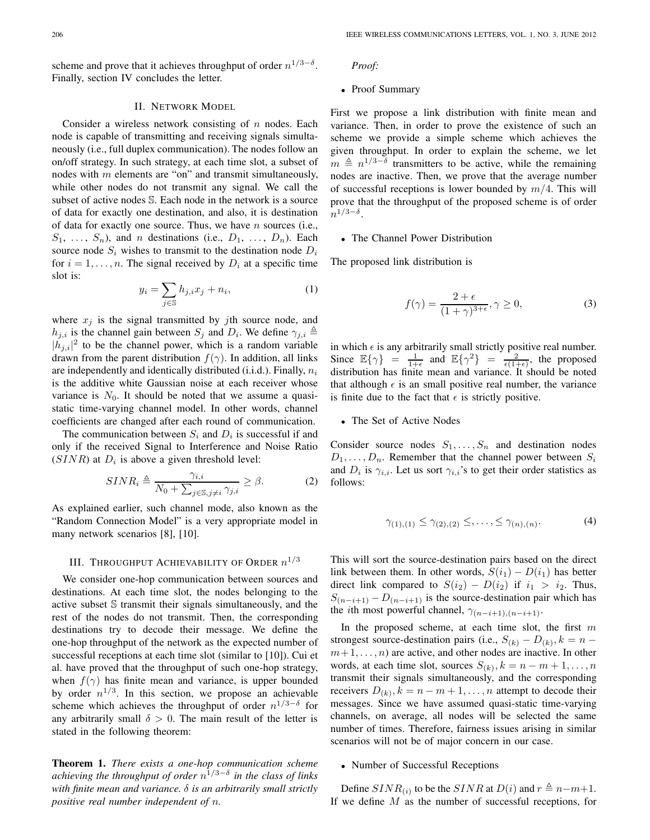scheme and prove that it achieves throughput of order  $n^{1/3-\delta}$ . Finally, section IV concludes the letter.

# II. NETWORK MODEL

Consider a wireless network consisting of  $n$  nodes. Each node is capable of transmitting and receiving signals simultaneously (i.e., full duplex communication). The nodes follow an on/off strategy. In such strategy, at each time slot, a subset of nodes with  $m$  elements are "on" and transmit simultaneously, while other nodes do not transmit any signal. We call the subset of active nodes S. Each node in the network is a source of data for exactly one destination, and also, it is destination of data for exactly one source. Thus, we have  $n$  sources (i.e.,  $S_1, \ldots, S_n$ , and n destinations (i.e.,  $D_1, \ldots, D_n$ ). Each source node  $S_i$  wishes to transmit to the destination node  $D_i$ for  $i = 1, \ldots, n$ . The signal received by  $D_i$  at a specific time slot is:

$$
y_i = \sum_{j \in \mathbb{S}} h_{j,i} x_j + n_i,\tag{1}
$$

where  $x_j$  is the signal transmitted by jth source node, and  $h_{j,i}$  is the channel gain between  $S_j$  and  $D_i$ . We define  $\gamma_{j,i} \triangleq$  $|h_{j,i}|^2$  to be the channel power, which is a random variable drawn from the parent distribution  $f(\gamma)$ . In addition, all links are independently and identically distributed (i.i.d.). Finally,  $n_i$ is the additive white Gaussian noise at each receiver whose variance is  $N_0$ . It should be noted that we assume a quasistatic time-varying channel model. In other words, channel coefficients are changed after each round of communication.

The communication between  $S_i$  and  $D_i$  is successful if and only if the received Signal to Interference and Noise Ratio  $(SINR)$  at  $D_i$  is above a given threshold level:

$$
SINR_i \triangleq \frac{\gamma_{i,i}}{N_0 + \sum_{j \in \mathbb{S}, j \neq i} \gamma_{j,i}} \ge \beta.
$$
 (2)

As explained earlier, such channel mode, also known as the "Random Connection Model" is a very appropriate model in many network scenarios [8], [10].

## III. THROUGHPUT ACHIEVABILITY OF ORDER  $n^{1/3}$

We consider one-hop communication between sources and destinations. At each time slot, the nodes belonging to the active subset S transmit their signals simultaneously, and the rest of the nodes do not transmit. Then, the corresponding destinations try to decode their message. We define the one-hop throughput of the network as the expected number of successful receptions at each time slot (similar to [10]). Cui et al. have proved that the throughput of such one-hop strategy, when  $f(\gamma)$  has finite mean and variance, is upper bounded by order  $n^{1/3}$ . In this section, we propose an achievable scheme which achieves the throughput of order  $n^{1/3-\delta}$  for any arbitrarily small  $\delta > 0$ . The main result of the letter is stated in the following theorem:

**Theorem 1.** *There exists a one-hop communication scheme achieving the throughput of order*  $n^{1/3-\delta}$  *in the class of links with finite mean and variance.* δ *is an arbitrarily small strictly positive real number independent of* n*.*

## *Proof:*

## • Proof Summary

First we propose a link distribution with finite mean and variance. Then, in order to prove the existence of such an scheme we provide a simple scheme which achieves the given throughput. In order to explain the scheme, we let  $m \triangleq n^{1/3-\delta}$  transmitters to be active, while the remaining nodes are inactive. Then, we prove that the average number of successful receptions is lower bounded by  $m/4$ . This will prove that the throughput of the proposed scheme is of order  $n^{1/3-\delta}$ .

# • The Channel Power Distribution

The proposed link distribution is

$$
f(\gamma) = \frac{2 + \epsilon}{(1 + \gamma)^{3 + \epsilon}}, \gamma \ge 0,
$$
 (3)

in which  $\epsilon$  is any arbitrarily small strictly positive real number. Since  $\mathbb{E}\{\gamma\} = \frac{1}{1+\epsilon}$  and  $\mathbb{E}\{\gamma^2\} = \frac{2}{\epsilon(1+\epsilon)}$ , the proposed distribution has finite mean and variance. It should be noted that although  $\epsilon$  is an small positive real number, the variance is finite due to the fact that  $\epsilon$  is strictly positive.

# • The Set of Active Nodes

Consider source nodes  $S_1, \ldots, S_n$  and destination nodes  $D_1, \ldots, D_n$ . Remember that the channel power between  $S_i$ and  $D_i$  is  $\gamma_{i,i}$ . Let us sort  $\gamma_{i,i}$ 's to get their order statistics as follows:

$$
\gamma_{(1),(1)} \le \gamma_{(2),(2)} \le \ldots, \le \gamma_{(n),(n)}.\tag{4}
$$

This will sort the source-destination pairs based on the direct link between them. In other words,  $S(i_1) - D(i_1)$  has better direct link compared to  $S(i_2) - D(i_2)$  if  $i_1 > i_2$ . Thus,  $S_{(n-i+1)} - D_{(n-i+1)}$  is the source-destination pair which has the *i*th most powerful channel,  $\gamma_{(n-i+1),(n-i+1)}$ .

In the proposed scheme, at each time slot, the first  $m$ strongest source-destination pairs (i.e.,  $S_{(k)} - D_{(k)}$ ,  $k = n$  $m+1,\ldots,n$  are active, and other nodes are inactive. In other words, at each time slot, sources  $S_{(k)}$ ,  $k = n - m + 1, \ldots, n$ transmit their signals simultaneously, and the corresponding receivers  $D_{(k)}$ ,  $k = n - m + 1, \ldots, n$  attempt to decode their messages. Since we have assumed quasi-static time-varying channels, on average, all nodes will be selected the same number of times. Therefore, fairness issues arising in similar scenarios will not be of major concern in our case.

# • Number of Successful Receptions

Define  $SINR_{(i)}$  to be the  $SINR$  at  $D(i)$  and  $r \triangleq n-m+1$ . If we define M as the number of successful receptions, for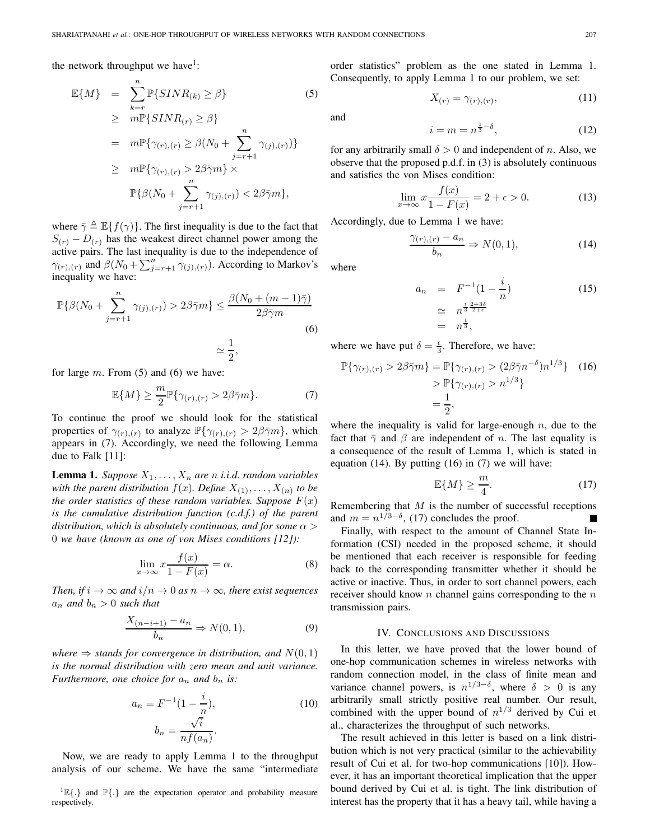the network throughput we have<sup>1</sup>:

$$
\mathbb{E}\{M\} = \sum_{k=r}^{n} \mathbb{P}\{SINR_{(k)} \ge \beta\} \tag{5}
$$
\n
$$
\ge m \mathbb{P}\{SINR_{(r)} \ge \beta\} \\
= m \mathbb{P}\{\gamma_{(r),(r)} \ge \beta(N_0 + \sum_{j=r+1}^{n} \gamma_{(j),(r)})\} \\
\ge m \mathbb{P}\{\gamma_{(r),(r)} > 2\beta\bar{\gamma}m\} \times \\
\mathbb{P}\{\beta(N_0 + \sum_{j=r+1}^{n} \gamma_{(j),(r)}) < 2\beta\bar{\gamma}m\},
$$

where  $\bar{\gamma} \triangleq \mathbb{E}\{f(\gamma)\}\$ . The first inequality is due to the fact that  $S(r) - D(r)$  has the weakest direct channel power among the active pairs. The last inequality is due to the independence of  $\gamma_{(r),(r)}$  and  $\beta(N_0 + \sum_{j=r+1}^n \gamma_{(j),(r)})$ . According to Markov's inequality we have:

$$
\mathbb{P}\{\beta(N_0 + \sum_{j=r+1}^n \gamma_{(j),(r)}) > 2\beta\bar{\gamma}m\} \le \frac{\beta(N_0 + (m-1)\bar{\gamma})}{2\beta\bar{\gamma}m}
$$
\n
$$
\simeq \frac{1}{2},
$$
\n(6)

for large  $m$ . From (5) and (6) we have:

$$
\mathbb{E}\{M\} \ge \frac{m}{2} \mathbb{P}\{\gamma_{(r),(r)} > 2\beta \bar{\gamma}m\}.
$$
 (7)

To continue the proof we should look for the statistical properties of  $\gamma_{(r),(r)}$  to analyze  $\mathbb{P}\{\gamma_{(r),(r)} > 2\beta\bar{\gamma}m\}$ , which appears in (7). Accordingly, we need the following Lemma due to Falk [11]:

**Lemma 1.** *Suppose*  $X_1, \ldots, X_n$  *are n i.i.d. random variables with the parent distribution*  $f(x)$ *. Define*  $X_{(1)}, \ldots, X_{(n)}$  *to be the order statistics of these random variables. Suppose*  $F(x)$ *is the cumulative distribution function (c.d.f.) of the parent distribution, which is absolutely continuous, and for some*  $\alpha$  > 0 *we have (known as one of von Mises conditions [12]):*

$$
\lim_{x \to \infty} x \frac{f(x)}{1 - F(x)} = \alpha.
$$
 (8)

*Then, if*  $i \to \infty$  *and*  $i/n \to 0$  *as*  $n \to \infty$ *, there exist sequences*  $a_n$  *and*  $b_n > 0$  *such that* 

$$
\frac{X_{(n-i+1)} - a_n}{b_n} \Rightarrow N(0,1),\tag{9}
$$

*where*  $\Rightarrow$  *stands for convergence in distribution, and*  $N(0, 1)$ *is the normal distribution with zero mean and unit variance. Furthermore, one choice for*  $a_n$  *and*  $b_n$  *is:* 

$$
a_n = F^{-1}(1 - \frac{i}{n}),
$$
  
\n
$$
b_n = \frac{\sqrt{i}}{nf(a_n)}.
$$
\n(10)

Now, we are ready to apply Lemma 1 to the throughput analysis of our scheme. We have the same "intermediate

<sup>1</sup> $\mathbb{E}\{\cdot\}$  and  $\mathbb{P}\{\cdot\}$  are the expectation operator and probability measure respectively.

order statistics" problem as the one stated in Lemma 1. Consequently, to apply Lemma 1 to our problem, we set:

and

$$
i = m = n^{\frac{1}{3} - \delta},\tag{12}
$$

 $X_{(r)} = \gamma_{(r),(r)},$  (11)

for any arbitrarily small  $\delta > 0$  and independent of n. Also, we observe that the proposed p.d.f. in (3) is absolutely continuous and satisfies the von Mises condition:

$$
\lim_{x \to \infty} x \frac{f(x)}{1 - F(x)} = 2 + \epsilon > 0.
$$
 (13)

Accordingly, due to Lemma 1 we have:

$$
\frac{\gamma_{(r),(r)} - a_n}{b_n} \Rightarrow N(0,1),\tag{14}
$$

where

$$
a_n = F^{-1}(1 - \frac{i}{n})
$$
  
\n
$$
\approx n^{\frac{1}{3} \frac{2+3\delta}{2+\epsilon}}
$$
  
\n
$$
= n^{\frac{1}{3}},
$$
\n(15)

where we have put  $\delta = \frac{\epsilon}{3}$ . Therefore, we have:

$$
\mathbb{P}\{\gamma_{(r),(r)} > 2\beta \bar{\gamma}m\} = \mathbb{P}\{\gamma_{(r),(r)} > (2\beta \bar{\gamma}n^{-\delta})n^{1/3}\} \quad (16)
$$

$$
> \mathbb{P}\{\gamma_{(r),(r)} > n^{1/3}\}
$$

$$
= \frac{1}{2},
$$

where the inequality is valid for large-enough  $n$ , due to the fact that  $\bar{\gamma}$  and  $\beta$  are independent of n. The last equality is a consequence of the result of Lemma 1, which is stated in equation  $(14)$ . By putting  $(16)$  in  $(7)$  we will have:

$$
\mathbb{E}\{M\} \ge \frac{m}{4}.\tag{17}
$$

Remembering that  $M$  is the number of successful receptions and  $m = n^{1/3-\delta}$ , (17) concludes the proof.

Finally, with respect to the amount of Channel State Information (CSI) needed in the proposed scheme, it should be mentioned that each receiver is responsible for feeding back to the corresponding transmitter whether it should be active or inactive. Thus, in order to sort channel powers, each receiver should know  $n$  channel gains corresponding to the  $n$ transmission pairs.

#### IV. CONCLUSIONS AND DISCUSSIONS

In this letter, we have proved that the lower bound of one-hop communication schemes in wireless networks with random connection model, in the class of finite mean and variance channel powers, is  $n^{1/3-\delta}$ , where  $\delta > 0$  is any arbitrarily small strictly positive real number. Our result, combined with the upper bound of  $n^{1/3}$  derived by Cui et al., characterizes the throughput of such networks.

The result achieved in this letter is based on a link distribution which is not very practical (similar to the achievability result of Cui et al. for two-hop communications [10]). However, it has an important theoretical implication that the upper bound derived by Cui et al. is tight. The link distribution of interest has the property that it has a heavy tail, while having a